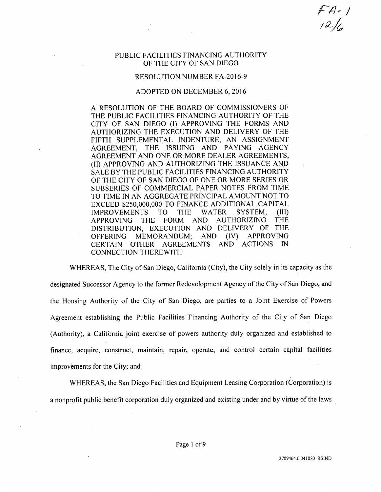*rfl-!*

## PUBLIC FACILITIES FINANCING AUTHORITY OF THE CITY OF SAN DIEGO

## RESOLUTION NUMBER FA-2016-9

## ADOPTED ON DECEMBER 6, 2016

A RESOLUTION OF THE BOARD OF COMMISSIONERS OF THE PUBLIC FACILITIES FINANCING AUTHORITY OF THE CITY OF SAN DIEGO (I) APPROVING THE FORMS AND AUTHORIZING THE EXECUTION AND DELIVERY OF THE FIFTH SUPPLEMENTAL INDENTURE, AN ASSIGNMENT AGREEMENT, THE ISSUING AND PAYING AGENCY AGREEMENT AND ONE OR MORE DEALER AGREEMENTS, (II) APPROVING AND AUTHORIZING THE ISSUANCE AND SALE BY THE PUBLIC FACILITIES FINANCING AUTHORITY OF THE CITY OF SAN DIEGO OF ONE OR MORE SERIES OR SUBSERIES OF COMMERCIAL PAPER NOTES FROM TIME TO TIME IN AN AGGREGATE PRINCIPAL AMOUNT NOT TO EXCEED \$250,000,000 TO FINANCE ADDITIONAL CAPITAL<br>IMPROVEMENTS TO THE WATER SYSTEM, (III) IMPROVEMENTS TO THE WATER SYSTEM, (III) APPROVING THE FORM AND AUTHORIZING THE DISTRIBUTION, EXECUTION AND DELIVERY OF THE OFFERING MEMORANDUM; AND (IV) APPROVING<br>CERTAIN OTHER AGREEMENTS AND ACTIONS IN **AGREEMENTS** CONNECTION THEREWITH.

WHEREAS, The City of San Diego, California (City), the City solely in its capacity as the designated Successor Agency to the former Redevelopment Agency ofthe City of San Diego, and the Housing Authority of the City of San Diego, are parties to a Joint Exercise of Powers Agreement establishing the Public Facilities Financing Authority of the City of San Diego (Authority), a California joint exercise of powers authority duly organized and established to finance, acquire, construct, maintain, repair, operate, and control certain capital facilities improvements for the City; and

WHEREAS, the San Diego Facilities and Equipment Leasing Corporation (Corporation) is a nonprofit public benefit corporation duly organized and existing under and by virtue of the laws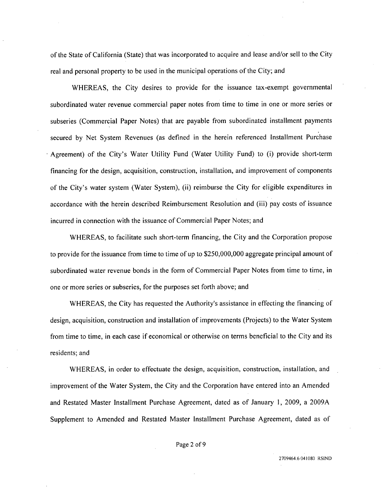ofthe State of California (State) that was incorporated to acquire and lease and/or sell to the City real and personal property to be used in the municipal operations of the City; and

WHEREAS, the City desires to provide for the issuance tax-exempt governmental subordinated water revenue commercial paper notes from time to time in one or more series or subseries (Commercial Paper Notes) that are payable from subordinated installment payments secured by Net System Revenues (as defined in the herein referenced Installment Purchase Agreement) of the City's Water Utility Fund (Water Utility Fund) to (i) provide short-term financing for the design, acquisition, construction, installation, and improvement of components of the City's water system (Water System), (ii) reimburse the City for eligible expenditures in accordance with the herein described Reimbursement Resolution and (iii) pay costs of issuance incurred in connection with the issuance of Commercial Paper Notes; and

WHEREAS, to facilitate such short-term financing, the City and the Corporation propose to provide for the issuance from time to time of up to \$250,000,000 aggregate principal amount of subordinated water revenue bonds in the form of Commercial Paper Notes from time to time, in one or more series or subseries, for the purposes set forth above; and

WHEREAS, the City has requested the Authority's assistance in effecting the financing of design, acquisition, construction and installation of improvements (Projects) to the Water System from time to time, in each case if economical or otherwise on terms beneficial to the City and its residents; and

WHEREAS, in order to effectuate the design, acquisition, construction, installation, and improvement of the Water System, the City and the Corporation have entered into an Amended and Restated Master Installment Purchase Agreement, dated as of January 1, 2009, a 2009A Supplement to Amended and Restated Master Installment Purchase Agreement, dated as of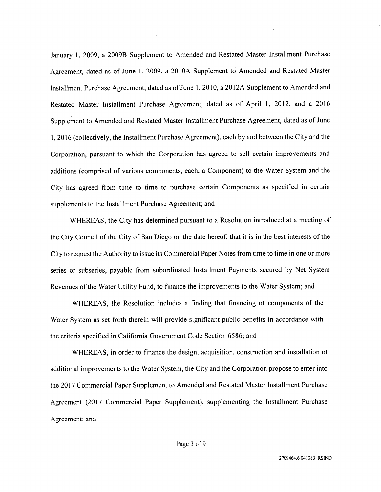January 1, 2009, a 2009B Supplement to Amended and Restated Master Installment Purchase Agreement, dated as of June 1, 2009, a 2010A Supplement to Amended and Restated Master Installment Purchase Agreement, dated as of June 1, 2010, a 2012A Supplement to Amended and Restated Master Installment Purchase Agreement, dated as of April 1, 2012, and a 2016 Supplement to Amended and Restated Master Installment Purchase Agreement, dated as of June 1,2016 (collectively, the Installment Purchase Agreement), each by and between the City and the Corporation, pursuant to which the Corporation has agreed to sell certain improvements and additions (comprised of various components, each, a Component) to the Water System and the City has agreed from time to time to purchase certain Components as specified in certain supplements to the Installment Purchase Agreement; and

WHEREAS, the City has determined pursuant to a Resolution introduced at a meeting of the City Council of the City of San Diego on the date hereof, that it is in the best interests of the City to request the Authority to issue its Commercial Paper Notes from time to time in one or more series or subseries, payable from subordinated Installment Payments secured by Net System Revenues of the Water Utility Fund, to finance the improvements to the Water System; and

WHEREAS, the Resolution includes a finding that financing of components of the Water System as set forth therein will provide significant public benefits in accordance with the criteria specified in California Government Code Section 6586; and

WHEREAS, in order to finance the design, acquisition, construction and installation of additional improvements to the Water System, the City and the Corporation propose to enter into the 2017 Commercial Paper Supplement to Amended and Restated Master Installment Purchase Agreement (2017 Commercial Paper Supplement), supplementing the Installment Purchase Agreement; and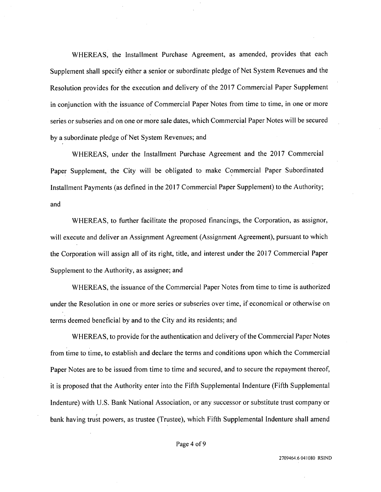WHEREAS, the Installment Purchase Agreement, as amended, provides that each Supplement shall specify either a senior or subordinate pledge of Net System Revenues and the Resolution provides for the execution and delivery of the 2017 Commercial Paper Supplement in conjunction with the issuance of Commercial Paper Notes from time to time, in one or more series or subseries and on one or more sale dates, which Commercial Paper Notes will be secured by a subordinate pledge of Net System Revenues; and

WHEREAS, under the Installment Purchase Agreement and the 2017 Commercial Paper Supplement, the City will be obligated to make Commercial Paper Subordinated Installment Payments (as defined in the 2017 Commercial Paper Supplement) to the Authority; and

WHEREAS, to further facilitate the proposed financings, the Corporation, as assignor, will execute and deliver an Assignment Agreement (Assignment Agreement), pursuant to which the Corporation will assign all of its right, title, and interest under the 2017 Commercial Paper Supplement to the Authority, as assignee; and

WHEREAS, the issuance ofthe Commercial Paper Notes from time to time is authorized under the Resolution in one or more series or subseries over time, if economical or otherwise on terms deemed beneficial by and to the City and its residents; and

WHEREAS, to provide for the authentication and delivery of the Commercial Paper Notes from time to time, to establish and declare the terms and conditions upon which the Commercial Paper Notes are to be issued from time to time and secured, and to secure the repayment thereof, it is proposed that the Authority enter into the Fifth Supplemental Indenture (Fifth Supplemental Indenture) with U.S. Bank National Association, or any successor or substitute trust company or bank having trust powers, as trustee (Trustee), which Fifth Supplemental Indenture shall amend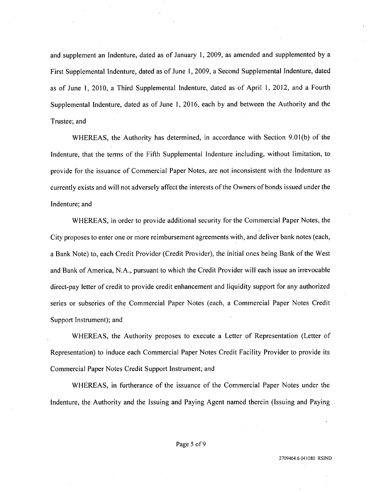and supplement an Indenture, dated as of January 1, 2009, as amended and supplemented by a First Supplemental Indenture, dated as of June 1, 2009, a Second Supplemental Indenture, dated as of June 1, 2010, a Third Supplemental Indenture, dated as of April 1, 2012, and a Fourth Supplemental Indenture, dated as of June 1, 2016, each by and between the Authority and the Trustee; and

WHEREAS, the Authority has determined, in accordance with Section 9.01(b) of the Indenture, that the terms of the Fifth Supplemental Indenture including, without limitation, to provide for the issuance of Commercial Paper Notes, are not inconsistent with the Indenture as currently exists and will not adversely affect the interests of the Owners of bonds issued under the Indenture; and

WHEREAS, in order to provide additional security for the Commercial Paper Notes, the City proposes to enter one or more reimbursement agreements with, and deliver bank notes (each, a Bank Note) to, each Credit Provider (Credit Provider), the initial ones being Bank of the West and Bank of America, N.A., pursuant to which the Credit Provider will each issue an irrevocable direct-pay letter of credit to provide credit enhancement and liquidity support for any authorized series or subseries of the Commercial Paper Notes (each, a Commercial Paper Notes Credit Support Instrument); and

WHEREAS, the Authority proposes to execute a Letter of Representation (Letter of Representation) to induce each Commercial Paper Notes Credit Facility Provider to provide its Commercial Paper Notes Credit Support Instrument; and

WHEREAS, in furtherance of the issuance of the Commercial Paper Notes under the Indenture, the Authority and the Issuing and Paying Agent named therein (Issuing and Paying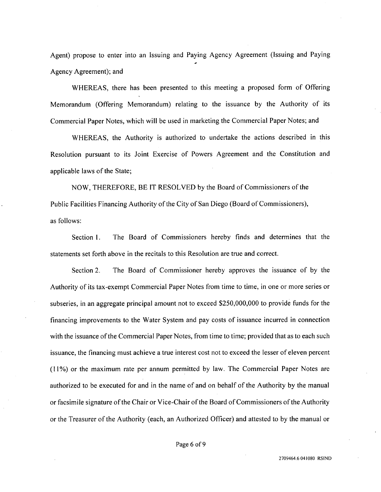Agent) propose to enter into an Issuing and Paying Agency Agreement (Issuing and Paying Agency Agreement); and

WHEREAS, there has been presented to this meeting a proposed form of Offering Memorandum (Offering Memorandum) relating to the issuance by the Authority of its Commercial Paper Notes, which will be used in marketing the Commercial Paper Notes; and

WHEREAS, the Authority is authorized to undertake the actions described in this Resolution pursuant to its Joint Exercise of Powers Agreement and the Constitution and applicable laws of the State;

NOW, THEREFORE, BE IT RESOLVED by the Board of Commissioners ofthe Public Facilities Financing Authority of the City of San Diego (Board of Commissioners), as follows:

Section 1. The Board of Commissioners hereby finds and determines that the statements set forth above in the recitals to this Resolution are true and correct.

Section 2. The Board of Commissioner hereby approves the issuance of by the Authority of its tax-exempt Commercial Paper Notes from time to time, in one or more series or subseries, in an aggregate principal amount not to exceed \$250,000,000 to provide funds for the financing improvements to the Water System and pay costs of issuance incurred in connection with the issuance of the Commercial Paper Notes, from time to time; provided that as to each such issuance, the financing must achieve a true interest cost not to exceed the lesser of eleven percent (11%) or the maximum rate per annum permitted by law. The Commercial Paper Notes are authorized to be executed for and in the name of and on behalf of the Authority by the manual or facsimile signature of the Chair or Vice-Chair of the Board of Commissioners of the Authority or the Treasurer ofthe Authority (each, an Authorized Officer) and attested to by the manual or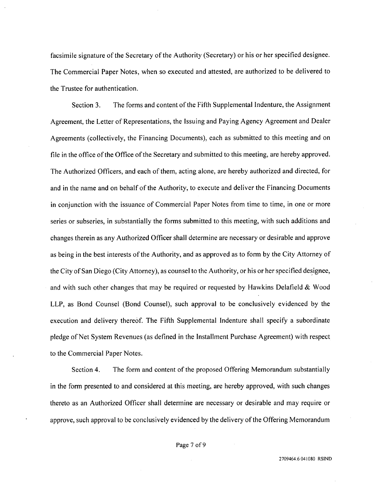facsimile signature of the Secretary of the Authority (Secretary) or his or her specified designee. The Commercial Paper Notes, when so executed and attested, are authorized to be delivered to the Trustee for authentication.

Section 3. The forms and content of the Fifth Supplemental Indenture, the Assignment Agreement, the Letter of Representations, the Issuing and Paying Agency Agreement and Dealer Agreements (collectively, the Financing Documents), each as submitted to this meeting and on file in the office of the Office of the Secretary and submitted to this meeting, are hereby approved. The Authorized Officers, and each of them, acting alone, are hereby authorized and directed, for and in the name and on behalf of the Authority, to execute and deliver the Financing Documents in conjunction with the issuance of Commercial Paper Notes from time to time, in one or more series or subseries, in substantially the forms submitted to this meeting, with such additions and changes therein as any Authorized Officer shall determine are necessary or desirable and approve as being in the best interests of the Authority, and as approved as to form by the City Attorney of the City of San Diego (City Attorney), as counsel to the Authority, or his or her specified designee, and with such other changes that may be required or requested by Hawkins Delafield  $& Wood$ LLP, as Bond Counsel (Bond Counsel), such approval to be conclusively evidenced by the execution and delivery thereof. The Fifth Supplemental Indenture shall specify a subordinate pledge of Net System Revenues (as defined in the Installment Purchase Agreement) with respect to the Commercial Paper Notes.

Section 4. The form and content of the proposed Offering Memorandum substantially in the form presented to and considered at this meeting, are hereby approved, with such changes thereto as an Authorized Officer shall determine are necessary or desirable and may require or approve, such approval to be conclusively evidenced by the delivery of the Offering Memorandum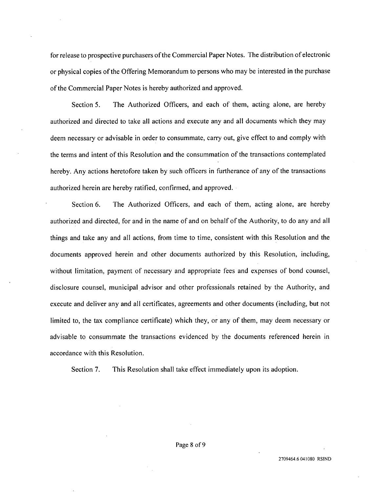for release to prospective purchasers of the Commercial Paper Notes. The distribution of electronic or physical copies ofthe Offering Memorandum to persons who may be interested in the purchase of the Commercial Paper Notes is hereby authorized and approved.

Section 5. The Authorized Officers, and each of them, acting alone, are hereby authorized and directed to take all actions and execute any and all documents which they may deem necessary or advisable in order to consummate, carry out, give effect to and comply with the terms and intent of this Resolution and the consummation of the transactions contemplated hereby. Any actions heretofore taken by such officers in furtherance of any of the transactions authorized herein are hereby ratified, confirmed, and approved.

Section 6. The Authorized Officers, and each of them, acting alone, are hereby authorized and directed, for and in the name of and on behalf of the Authority, to do any and all things and take any and all actions, from time to time, consistent with this Resolution and the documents approved herein and other documents authorized by this Resolution, including, without limitation, payment of necessary and appropriate fees and expenses of bond counsel, disclosure counsel, municipal advisor and other professionals retained by the Authority, and execute and deliver any and all certificates, agreements and other documents (including, but not limited to, the tax compliance certificate) which they, or any of them, may deem necessary or advisable to consummate the transactions evidenced by the documents referenced herein in accordance with this Resolution.

Section 7. This Resolution shall take effect immediately upon its adoption.